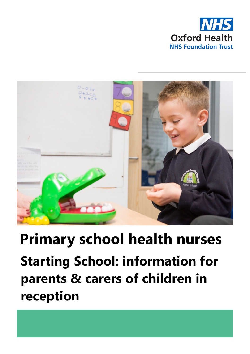



# **Starting School: information for parents & carers of children in reception Primary school health nurses**

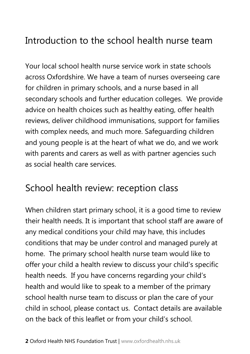#### Introduction to the school health nurse team

Your local school health nurse service work in state schools across Oxfordshire. We have a team of nurses overseeing care for children in primary schools, and a nurse based in all secondary schools and further education colleges. We provide advice on health choices such as healthy eating, offer health reviews, deliver childhood immunisations, support for families with complex needs, and much more. Safeguarding children and young people is at the heart of what we do, and we work with parents and carers as well as with partner agencies such as social health care services.

#### School health review: reception class

When children start primary school, it is a good time to review their health needs. It is important that school staff are aware of any medical conditions your child may have, this includes conditions that may be under control and managed purely at home. The primary school health nurse team would like to offer your child a health review to discuss your child's specific health needs. If you have concerns regarding your child's health and would like to speak to a member of the primary school health nurse team to discuss or plan the care of your child in school, please contact us. Contact details are available on the back of this leaflet or from your child's school.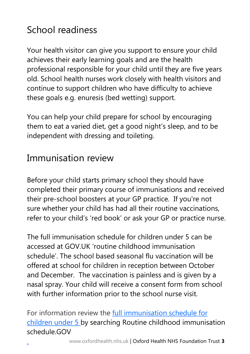# School readiness

Your health visitor can give you support to ensure your child achieves their early learning goals and are the health professional responsible for your child until they are five years old. School health nurses work closely with health visitors and continue to support children who have difficulty to achieve these goals e.g. enuresis (bed wetting) support.

You can help your child prepare for school by encouraging them to eat a varied diet, get a good night's sleep, and to be independent with dressing and toileting.

#### Immunisation review

Before your child starts primary school they should have completed their primary course of immunisations and received their pre-school boosters at your GP practice. If you're not sure whether your child has had all their routine vaccinations, refer to your child's 'red book' or ask your GP or practice nurse.

The full immunisation schedule for children under 5 can be accessed at GOV.UK ['routine childhood immunisation](https://www.gov.uk/government/publications/routine-childhood-immunisation-schedule)  [schedule'.](https://www.gov.uk/government/publications/routine-childhood-immunisation-schedule) The school based seasonal flu vaccination will be offered at school for children in reception between October and December. The vaccination is painless and is given by a nasal spray. Your child will receive a consent form from school with further information prior to the school nurse visit.

For information review the [full immunisation schedule for](http://bit.ly/immunisationsPublicHealthEngland1)  [children under 5 by searching Routine childhood immunisation](http://bit.ly/immunisationsPublicHealthEngland1)  [schedule.GOV](http://bit.ly/immunisationsPublicHealthEngland1)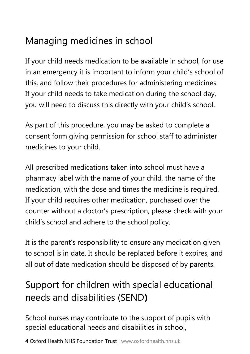## Managing medicines in school

If your child needs medication to be available in school, for use in an emergency it is important to inform your child's school of this, and follow their procedures for administering medicines. If your child needs to take medication during the school day, you will need to discuss this directly with your child's school.

As part of this procedure, you may be asked to complete a consent form giving permission for school staff to administer medicines to your child.

All prescribed medications taken into school must have a pharmacy label with the name of your child, the name of the medication, with the dose and times the medicine is required. If your child requires other medication, purchased over the counter without a doctor's prescription, please check with your child's school and adhere to the school policy.

It is the parent's responsibility to ensure any medication given to school is in date. It should be replaced before it expires, and all out of date medication should be disposed of by parents.

## Support for children with special educational needs and disabilities (SEND**)**

School nurses may contribute to the support of pupils with special educational needs and disabilities in school,

**4** Oxford Health NHS Foundation Trust | www.oxfordhealth.nhs.uk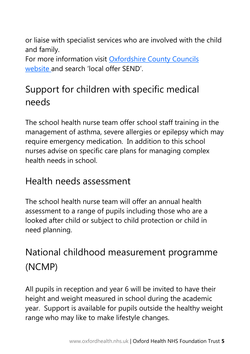or liaise with specialist services who are involved with the child and family.

For more information visit [Oxfordshire County Councils](http://bit.ly/oxcountycouncilSEND)  [website and search](http://bit.ly/oxcountycouncilSEND) 'local offer SEND'.

## Support for children with specific medical needs

The school health nurse team offer school staff training in the management of asthma, severe allergies or epilepsy which may require emergency medication. In addition to this school nurses advise on specific care plans for managing complex health needs in school.

#### Health needs assessment

The school health nurse team will offer an annual health assessment to a range of pupils including those who are a looked after child or subject to child protection or child in need planning.

# National childhood measurement programme (NCMP)

All pupils in reception and year 6 will be invited to have their height and weight measured in school during the academic year. Support is available for pupils outside the healthy weight range who may like to make lifestyle changes.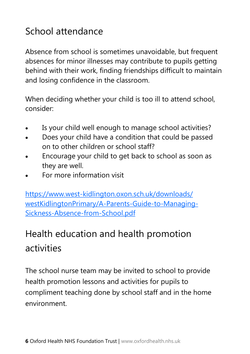### School attendance

Absence from school is sometimes unavoidable, but frequent absences for minor illnesses may contribute to pupils getting behind with their work, finding friendships difficult to maintain and losing confidence in the classroom.

When deciding whether your child is too ill to attend school, consider:

- Is your child well enough to manage school activities?
- Does your child have a condition that could be passed on to other children or school staff?
- Encourage your child to get back to school as soon as they are well.
- For more information visit

[https://www.west-kidlington.oxon.sch.uk/downloads/](https://www.west-kidlington.oxon.sch.uk/downloads/westKidlingtonPrimary/A-Parents-Guide-to-Managing-Sickness-Absence-from-School.pdf) [westKidlingtonPrimary/A-Parents-Guide-to-Managing-](https://www.west-kidlington.oxon.sch.uk/downloads/westKidlingtonPrimary/A-Parents-Guide-to-Managing-Sickness-Absence-from-School.pdf)[Sickness-Absence-from-School.pdf](https://www.west-kidlington.oxon.sch.uk/downloads/westKidlingtonPrimary/A-Parents-Guide-to-Managing-Sickness-Absence-from-School.pdf)

# Health education and health promotion activities

The school nurse team may be invited to school to provide health promotion lessons and activities for pupils to compliment teaching done by school staff and in the home environment.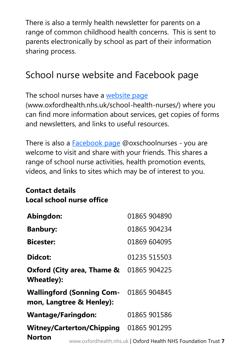There is also a termly health newsletter for parents on a range of common childhood health concerns. This is sent to parents electronically by school as part of their information sharing process.

#### School nurse website and Facebook page

The school nurses have a [website page](https://www.oxfordhealth.nhs.uk/school-health-nurses/)

(www.oxfordhealth.nhs.uk/school-health-nurses/) where you can find more information about services, get copies of forms and newsletters, and links to useful resources.

There is also a **Facebook page @oxschoolnurses** - you are welcome to visit and share with your friends. This shares a range of school nurse activities, health promotion events, videos, and links to sites which may be of interest to you.

#### **Contact details Local school nurse office**

| Abingdon:                                                          |                                  | 01865 904890                                                   |
|--------------------------------------------------------------------|----------------------------------|----------------------------------------------------------------|
| <b>Banbury:</b>                                                    |                                  | 01865 904234                                                   |
| <b>Bicester:</b>                                                   |                                  | 01869 604095                                                   |
| Didcot:                                                            |                                  | 01235 515503                                                   |
| Oxford (City area, Thame & 01865 904225<br>Wheatley):              |                                  |                                                                |
| Wallingford (Sonning Com- 01865 904845<br>mon, Langtree & Henley): |                                  |                                                                |
| <b>Wantage/Faringdon:</b>                                          |                                  | 01865 901586                                                   |
|                                                                    | <b>Witney/Carterton/Chipping</b> | 01865 901295                                                   |
| <b>Norton</b>                                                      |                                  | www.oxfordhealth.nhs.uk   Oxford Health NHS Foundation Trust 7 |